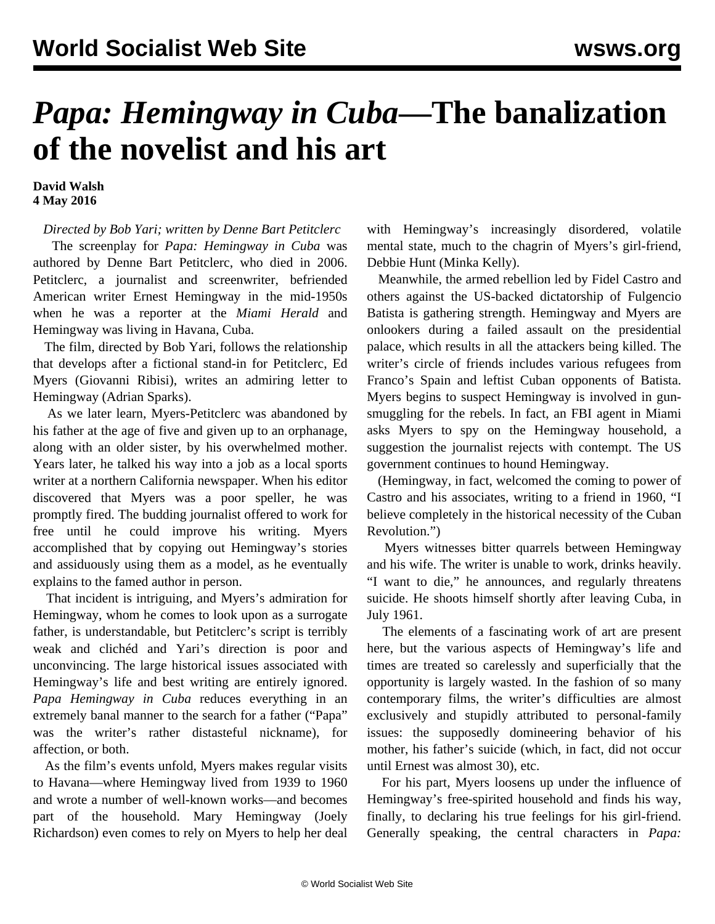## *Papa: Hemingway in Cuba***—The banalization of the novelist and his art**

**David Walsh 4 May 2016**

*Directed by Bob Yari; written by Denne Bart Petitclerc*

 The screenplay for *Papa: Hemingway in Cuba* was authored by Denne Bart Petitclerc, who died in 2006. Petitclerc, a journalist and screenwriter, befriended American writer Ernest Hemingway in the mid-1950s when he was a reporter at the *Miami Herald* and Hemingway was living in Havana, Cuba.

 The film, directed by Bob Yari, follows the relationship that develops after a fictional stand-in for Petitclerc, Ed Myers (Giovanni Ribisi), writes an admiring letter to Hemingway (Adrian Sparks).

 As we later learn, Myers-Petitclerc was abandoned by his father at the age of five and given up to an orphanage, along with an older sister, by his overwhelmed mother. Years later, he talked his way into a job as a local sports writer at a northern California newspaper. When his editor discovered that Myers was a poor speller, he was promptly fired. The budding journalist offered to work for free until he could improve his writing. Myers accomplished that by copying out Hemingway's stories and assiduously using them as a model, as he eventually explains to the famed author in person.

 That incident is intriguing, and Myers's admiration for Hemingway, whom he comes to look upon as a surrogate father, is understandable, but Petitclerc's script is terribly weak and clichéd and Yari's direction is poor and unconvincing. The large historical issues associated with Hemingway's life and best writing are entirely ignored. *Papa Hemingway in Cuba* reduces everything in an extremely banal manner to the search for a father ("Papa" was the writer's rather distasteful nickname), for affection, or both.

 As the film's events unfold, Myers makes regular visits to Havana—where Hemingway lived from 1939 to 1960 and wrote a number of well-known works—and becomes part of the household. Mary Hemingway (Joely Richardson) even comes to rely on Myers to help her deal

with Hemingway's increasingly disordered, volatile mental state, much to the chagrin of Myers's girl-friend, Debbie Hunt (Minka Kelly).

 Meanwhile, the armed rebellion led by Fidel Castro and others against the US-backed dictatorship of Fulgencio Batista is gathering strength. Hemingway and Myers are onlookers during a failed assault on the presidential palace, which results in all the attackers being killed. The writer's circle of friends includes various refugees from Franco's Spain and leftist Cuban opponents of Batista. Myers begins to suspect Hemingway is involved in gunsmuggling for the rebels. In fact, an FBI agent in Miami asks Myers to spy on the Hemingway household, a suggestion the journalist rejects with contempt. The US government continues to hound Hemingway.

 (Hemingway, in fact, welcomed the coming to power of Castro and his associates, writing to a friend in 1960, "I believe completely in the historical necessity of the Cuban Revolution.")

 Myers witnesses bitter quarrels between Hemingway and his wife. The writer is unable to work, drinks heavily. "I want to die," he announces, and regularly threatens suicide. He shoots himself shortly after leaving Cuba, in July 1961.

 The elements of a fascinating work of art are present here, but the various aspects of Hemingway's life and times are treated so carelessly and superficially that the opportunity is largely wasted. In the fashion of so many contemporary films, the writer's difficulties are almost exclusively and stupidly attributed to personal-family issues: the supposedly domineering behavior of his mother, his father's suicide (which, in fact, did not occur until Ernest was almost 30), etc.

 For his part, Myers loosens up under the influence of Hemingway's free-spirited household and finds his way, finally, to declaring his true feelings for his girl-friend. Generally speaking, the central characters in *Papa:*